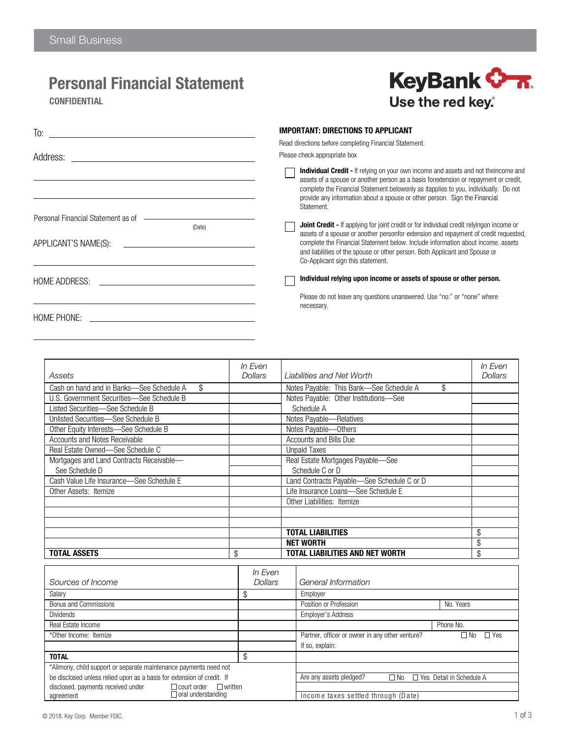### Personal Financial Statement

To:

Address:

HOME ADDRESS:

(Date)

APPLICANT'S NAME(S):

Personal Financial Statement as of  $\overline{\phantom{a}}$ 

**CONFIDENTIAL** 



|  | <b>IMPORTANT: DIRECTIONS TO APPLICANT</b> |  |
|--|-------------------------------------------|--|
|--|-------------------------------------------|--|

Read directions before completing Financial Statement.

Please check appropriate box

Individual Credit - If relying on your own income and assets and not theincome and assets of a spouse or another person as a basis forextension or repayment or credit, complete the Financial Statement belowonly as itapplies to you, individually. Do not provide any information about a spouse or other person. Sign the Financial Statement.

**Joint Credit - If applying for joint credit or for individual credit relyingon income or**  $\Box$ assets of a spouse or another personfor extension and repayment of credit requested, complete the Financial Statement below. Include information about income, assets and liabilities of the spouse or other person. Both Applicant and Spouse or Co-Applicant sign this statement.

Individual relying upon income or assets of spouse or other person.

Please do not leave any questions unanswered. Use "no:" or "none" where necessary.

HOME PHONE:

|                                                | In Even |                                               | In Even |
|------------------------------------------------|---------|-----------------------------------------------|---------|
| Assets                                         | Dollars | Liabilities and Net Worth                     | Dollars |
| \$<br>Cash on hand and in Banks-See Schedule A |         | \$<br>Notes Payable: This Bank-See Schedule A |         |
| U.S. Government Securities-See Schedule B      |         | Notes Payable: Other Institutions-See         |         |
| Listed Securities—See Schedule B               |         | Schedule A                                    |         |
| Unlisted Securities-See Schedule B             |         | Notes Payable-Relatives                       |         |
| Other Equity Interests-See Schedule B          |         | Notes Payable-Others                          |         |
| Accounts and Notes Receivable                  |         | <b>Accounts and Bills Due</b>                 |         |
| Real Estate Owned-See Schedule C               |         | <b>Unpaid Taxes</b>                           |         |
| Mortgages and Land Contracts Receivable-       |         | Real Estate Mortgages Payable-See             |         |
| See Schedule D                                 |         | Schedule C or D                               |         |
| Cash Value Life Insurance-See Schedule E       |         | Land Contracts Payable-See Schedule C or D    |         |
| Other Assets: Itemize                          |         | Life Insurance Loans-See Schedule E           |         |
|                                                |         | Other Liabilities: Itemize                    |         |
|                                                |         |                                               |         |
|                                                |         |                                               |         |
|                                                |         | <b>TOTAL LIABILITIES</b>                      | \$      |
|                                                |         | <b>NET WORTH</b>                              | \$      |
| <b>TOTAL ASSETS</b>                            | \$      | TOTAL LIABILITIES AND NET WORTH               | \$      |

|                                                                            | <i>In Even</i> |                                                 |                            |
|----------------------------------------------------------------------------|----------------|-------------------------------------------------|----------------------------|
| Sources of Income                                                          | <b>Dollars</b> | General Information                             |                            |
| Salary                                                                     |                | Employer                                        |                            |
| Bonus and Commissions                                                      |                | Position or Profession                          | No. Years                  |
| <b>Dividends</b>                                                           |                | <b>Employer's Address</b>                       |                            |
| Real Estate Income                                                         |                |                                                 | Phone No.                  |
| *Other Income: Itemize                                                     |                | Partner, officer or owner in any other venture? | ⊥ Yes<br>⊥ No              |
|                                                                            |                | If so, explain:                                 |                            |
| <b>TOTAL</b>                                                               | \$             |                                                 |                            |
| *Alimony, child support or separate maintenance payments need not          |                |                                                 |                            |
| be disclosed unless relied upon as a basis for extension of credit. If     |                | Are any assets pledged?<br>$\Box$ No            | □ Yes Detail in Schedule A |
| disclosed, payments received under<br>$\Box$ written<br>$\Box$ court order |                |                                                 |                            |
| $\Box$ oral understanding<br>agreement                                     |                | Income taxes settled through (Date)             |                            |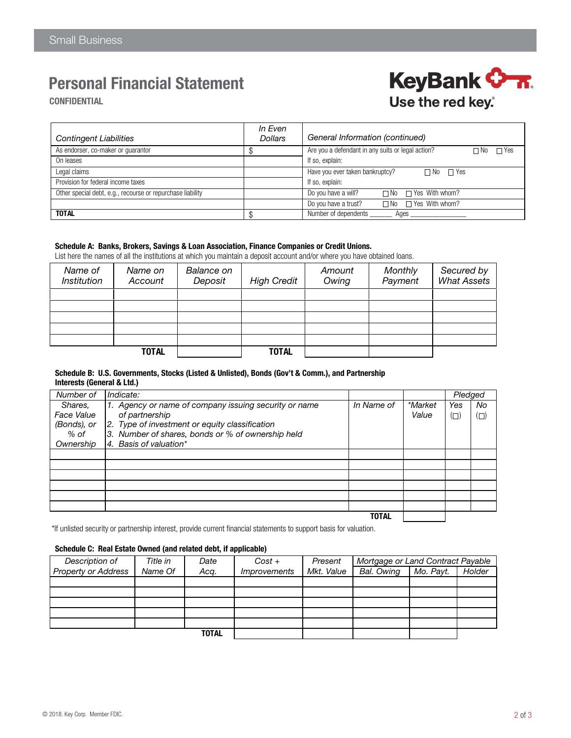# Personal Financial Statement

**CONFIDENTIAL** 



| <b>Contingent Liabilities</b>                              | In Even<br><b>Dollars</b> | General Information (continued)                                         |
|------------------------------------------------------------|---------------------------|-------------------------------------------------------------------------|
| As endorser, co-maker or quarantor                         |                           | Are you a defendant in any suits or legal action?<br>$\Box$ Yes<br>∩ No |
| On leases                                                  |                           | If so, explain:                                                         |
| Legal claims                                               |                           | Have you ever taken bankruptcy?<br>$\Box$ No $\Box$ Yes                 |
| Provision for federal income taxes                         |                           | If so, explain:                                                         |
| Other special debt, e.g., recourse or repurchase liability |                           | $\Box$ No $\Box$ Yes With whom?<br>Do you have a will?                  |
|                                                            |                           | $\Box$ No $\Box$ Yes With whom?<br>Do you have a trust?                 |
| <b>TOTAL</b>                                               |                           | Number of dependents<br>Ages                                            |

#### Schedule A: Banks, Brokers, Savings & Loan Association, Finance Companies or Credit Unions.

List here the names of all the institutions at which you maintain a deposit account and/or where you have obtained loans.

| Name of<br><i><b>Institution</b></i> | Name on<br>Account | Balance on<br>Deposit | <b>High Credit</b> | Amount<br>Owing | <b>Monthly</b><br>Payment | Secured by<br><b>What Assets</b> |
|--------------------------------------|--------------------|-----------------------|--------------------|-----------------|---------------------------|----------------------------------|
|                                      |                    |                       |                    |                 |                           |                                  |
|                                      |                    |                       |                    |                 |                           |                                  |
|                                      |                    |                       |                    |                 |                           |                                  |
|                                      |                    |                       |                    |                 |                           |                                  |
|                                      |                    |                       |                    |                 |                           |                                  |
|                                      | <b>TOTAL</b>       |                       | <b>TOTAL</b>       |                 |                           |                                  |

#### Schedule B: U.S. Governments, Stocks (Listed & Unlisted), Bonds (Gov't & Comm.), and Partnership Interests (General & Ltd.)

| Number of         | Indicate:                                             |            |                | Pledged |     |
|-------------------|-------------------------------------------------------|------------|----------------|---------|-----|
| Shares,           | 1. Agency or name of company issuing security or name | In Name of | <i>*Market</i> | Yes     | No  |
| <b>Face Value</b> | of partnership                                        |            | Value          | $\Box$  | (O) |
| (Bonds), or       | 2. Type of investment or equity classification        |            |                |         |     |
| % of              | 3. Number of shares, bonds or % of ownership held     |            |                |         |     |
| Ownership         | 4. Basis of valuation*                                |            |                |         |     |
|                   |                                                       |            |                |         |     |
|                   |                                                       |            |                |         |     |
|                   |                                                       |            |                |         |     |
|                   |                                                       |            |                |         |     |
|                   |                                                       |            |                |         |     |
|                   |                                                       |            |                |         |     |
|                   |                                                       | TOTAL      |                |         |     |

\*If unlisted security or partnership interest, provide current financial statements to support basis for valuation.

#### Schedule C: Real Estate Owned (and related debt, if applicable)

| Description of             | Title in | Date  | $Cost +$            | Present    | Mortgage or Land Contract Payable |           |        |
|----------------------------|----------|-------|---------------------|------------|-----------------------------------|-----------|--------|
| <b>Property or Address</b> | Name Of  | Acq.  | <i>Improvements</i> | Mkt. Value | Bal. Owing                        | Mo. Payt. | Holder |
|                            |          |       |                     |            |                                   |           |        |
|                            |          |       |                     |            |                                   |           |        |
|                            |          |       |                     |            |                                   |           |        |
|                            |          |       |                     |            |                                   |           |        |
|                            |          |       |                     |            |                                   |           |        |
|                            |          | TOTAL |                     |            |                                   |           |        |